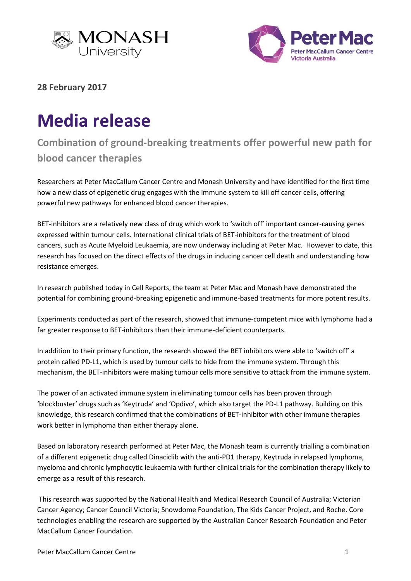



**28 February 2017**

## **Media release**

## **Combination of ground-breaking treatments offer powerful new path for blood cancer therapies**

Researchers at Peter MacCallum Cancer Centre and Monash University and have identified for the first time how a new class of epigenetic drug engages with the immune system to kill off cancer cells, offering powerful new pathways for enhanced blood cancer therapies.

BET-inhibitors are a relatively new class of drug which work to 'switch off' important cancer-causing genes expressed within tumour cells. International clinical trials of BET-inhibitors for the treatment of blood cancers, such as Acute Myeloid Leukaemia, are now underway including at Peter Mac. However to date, this research has focused on the direct effects of the drugs in inducing cancer cell death and understanding how resistance emerges.

In research published today in Cell Reports, the team at Peter Mac and Monash have demonstrated the potential for combining ground-breaking epigenetic and immune-based treatments for more potent results.

Experiments conducted as part of the research, showed that immune-competent mice with lymphoma had a far greater response to BET-inhibitors than their immune-deficient counterparts.

In addition to their primary function, the research showed the BET inhibitors were able to 'switch off' a protein called PD-L1, which is used by tumour cells to hide from the immune system. Through this mechanism, the BET-inhibitors were making tumour cells more sensitive to attack from the immune system.

The power of an activated immune system in eliminating tumour cells has been proven through 'blockbuster' drugs such as 'Keytruda' and 'Opdivo', which also target the PD-L1 pathway. Building on this knowledge, this research confirmed that the combinations of BET-inhibitor with other immune therapies work better in lymphoma than either therapy alone.

Based on laboratory research performed at Peter Mac, the Monash team is currently trialling a combination of a different epigenetic drug called Dinaciclib with the anti-PD1 therapy, Keytruda in relapsed lymphoma, myeloma and chronic lymphocytic leukaemia with further clinical trials for the combination therapy likely to emerge as a result of this research.

This research was supported by the National Health and Medical Research Council of Australia; Victorian Cancer Agency; Cancer Council Victoria; Snowdome Foundation, The Kids Cancer Project, and Roche. Core technologies enabling the research are supported by the Australian Cancer Research Foundation and Peter MacCallum Cancer Foundation.